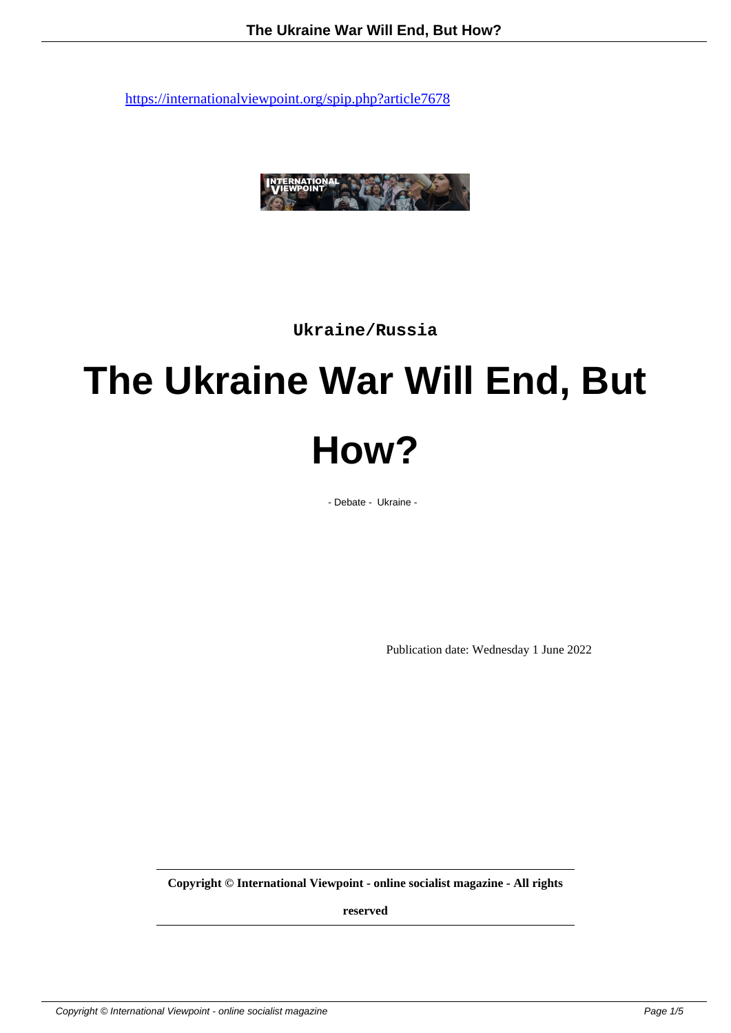

**Ukraine/Russia**

# **The Ukraine War Will End, But How?**

- Debate - Ukraine -

Publication date: Wednesday 1 June 2022

**Copyright © International Viewpoint - online socialist magazine - All rights**

**reserved**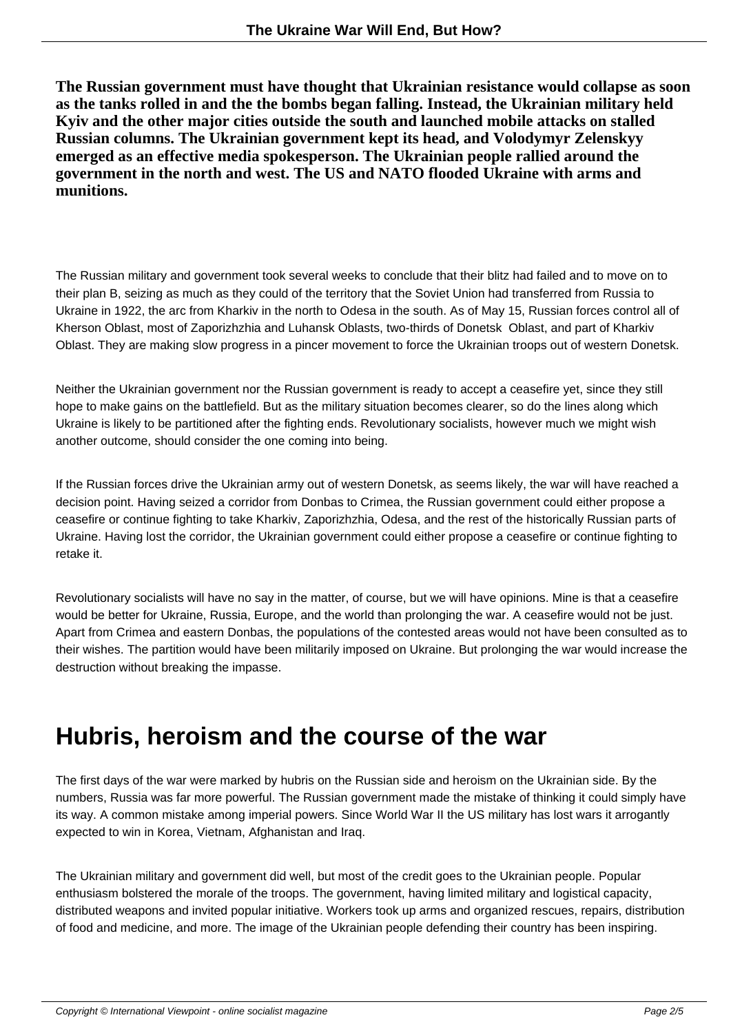**The Russian government must have thought that Ukrainian resistance would collapse as soon as the tanks rolled in and the the bombs began falling. Instead, the Ukrainian military held Kyiv and the other major cities outside the south and launched mobile attacks on stalled Russian columns. The Ukrainian government kept its head, and Volodymyr Zelenskyy emerged as an effective media spokesperson. The Ukrainian people rallied around the government in the north and west. The US and NATO flooded Ukraine with arms and munitions.**

The Russian military and government took several weeks to conclude that their blitz had failed and to move on to their plan B, seizing as much as they could of the territory that the Soviet Union had transferred from Russia to Ukraine in 1922, the arc from Kharkiv in the north to Odesa in the south. As of May 15, Russian forces control all of Kherson Oblast, most of Zaporizhzhia and Luhansk Oblasts, two-thirds of Donetsk Oblast, and part of Kharkiv Oblast. They are making slow progress in a pincer movement to force the Ukrainian troops out of western Donetsk.

Neither the Ukrainian government nor the Russian government is ready to accept a ceasefire yet, since they still hope to make gains on the battlefield. But as the military situation becomes clearer, so do the lines along which Ukraine is likely to be partitioned after the fighting ends. Revolutionary socialists, however much we might wish another outcome, should consider the one coming into being.

If the Russian forces drive the Ukrainian army out of western Donetsk, as seems likely, the war will have reached a decision point. Having seized a corridor from Donbas to Crimea, the Russian government could either propose a ceasefire or continue fighting to take Kharkiv, Zaporizhzhia, Odesa, and the rest of the historically Russian parts of Ukraine. Having lost the corridor, the Ukrainian government could either propose a ceasefire or continue fighting to retake it.

Revolutionary socialists will have no say in the matter, of course, but we will have opinions. Mine is that a ceasefire would be better for Ukraine, Russia, Europe, and the world than prolonging the war. A ceasefire would not be just. Apart from Crimea and eastern Donbas, the populations of the contested areas would not have been consulted as to their wishes. The partition would have been militarily imposed on Ukraine. But prolonging the war would increase the destruction without breaking the impasse.

## **Hubris, heroism and the course of the war**

The first days of the war were marked by hubris on the Russian side and heroism on the Ukrainian side. By the numbers, Russia was far more powerful. The Russian government made the mistake of thinking it could simply have its way. A common mistake among imperial powers. Since World War II the US military has lost wars it arrogantly expected to win in Korea, Vietnam, Afghanistan and Iraq.

The Ukrainian military and government did well, but most of the credit goes to the Ukrainian people. Popular enthusiasm bolstered the morale of the troops. The government, having limited military and logistical capacity, distributed weapons and invited popular initiative. Workers took up arms and organized rescues, repairs, distribution of food and medicine, and more. The image of the Ukrainian people defending their country has been inspiring.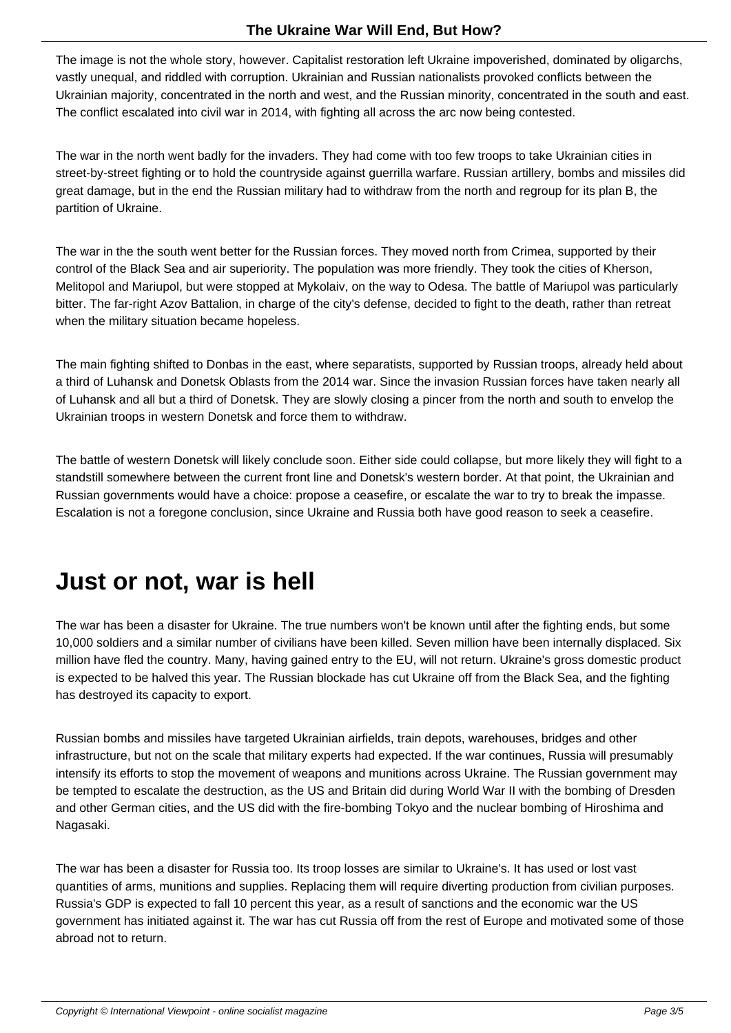The image is not the whole story, however. Capitalist restoration left Ukraine impoverished, dominated by oligarchs, vastly unequal, and riddled with corruption. Ukrainian and Russian nationalists provoked conflicts between the Ukrainian majority, concentrated in the north and west, and the Russian minority, concentrated in the south and east. The conflict escalated into civil war in 2014, with fighting all across the arc now being contested.

The war in the north went badly for the invaders. They had come with too few troops to take Ukrainian cities in street-by-street fighting or to hold the countryside against guerrilla warfare. Russian artillery, bombs and missiles did great damage, but in the end the Russian military had to withdraw from the north and regroup for its plan B, the partition of Ukraine.

The war in the the south went better for the Russian forces. They moved north from Crimea, supported by their control of the Black Sea and air superiority. The population was more friendly. They took the cities of Kherson, Melitopol and Mariupol, but were stopped at Mykolaiv, on the way to Odesa. The battle of Mariupol was particularly bitter. The far-right Azov Battalion, in charge of the city's defense, decided to fight to the death, rather than retreat when the military situation became hopeless.

The main fighting shifted to Donbas in the east, where separatists, supported by Russian troops, already held about a third of Luhansk and Donetsk Oblasts from the 2014 war. Since the invasion Russian forces have taken nearly all of Luhansk and all but a third of Donetsk. They are slowly closing a pincer from the north and south to envelop the Ukrainian troops in western Donetsk and force them to withdraw.

The battle of western Donetsk will likely conclude soon. Either side could collapse, but more likely they will fight to a standstill somewhere between the current front line and Donetsk's western border. At that point, the Ukrainian and Russian governments would have a choice: propose a ceasefire, or escalate the war to try to break the impasse. Escalation is not a foregone conclusion, since Ukraine and Russia both have good reason to seek a ceasefire.

### **Just or not, war is hell**

The war has been a disaster for Ukraine. The true numbers won't be known until after the fighting ends, but some 10,000 soldiers and a similar number of civilians have been killed. Seven million have been internally displaced. Six million have fled the country. Many, having gained entry to the EU, will not return. Ukraine's gross domestic product is expected to be halved this year. The Russian blockade has cut Ukraine off from the Black Sea, and the fighting has destroyed its capacity to export.

Russian bombs and missiles have targeted Ukrainian airfields, train depots, warehouses, bridges and other infrastructure, but not on the scale that military experts had expected. If the war continues, Russia will presumably intensify its efforts to stop the movement of weapons and munitions across Ukraine. The Russian government may be tempted to escalate the destruction, as the US and Britain did during World War II with the bombing of Dresden and other German cities, and the US did with the fire-bombing Tokyo and the nuclear bombing of Hiroshima and Nagasaki.

The war has been a disaster for Russia too. Its troop losses are similar to Ukraine's. It has used or lost vast quantities of arms, munitions and supplies. Replacing them will require diverting production from civilian purposes. Russia's GDP is expected to fall 10 percent this year, as a result of sanctions and the economic war the US government has initiated against it. The war has cut Russia off from the rest of Europe and motivated some of those abroad not to return.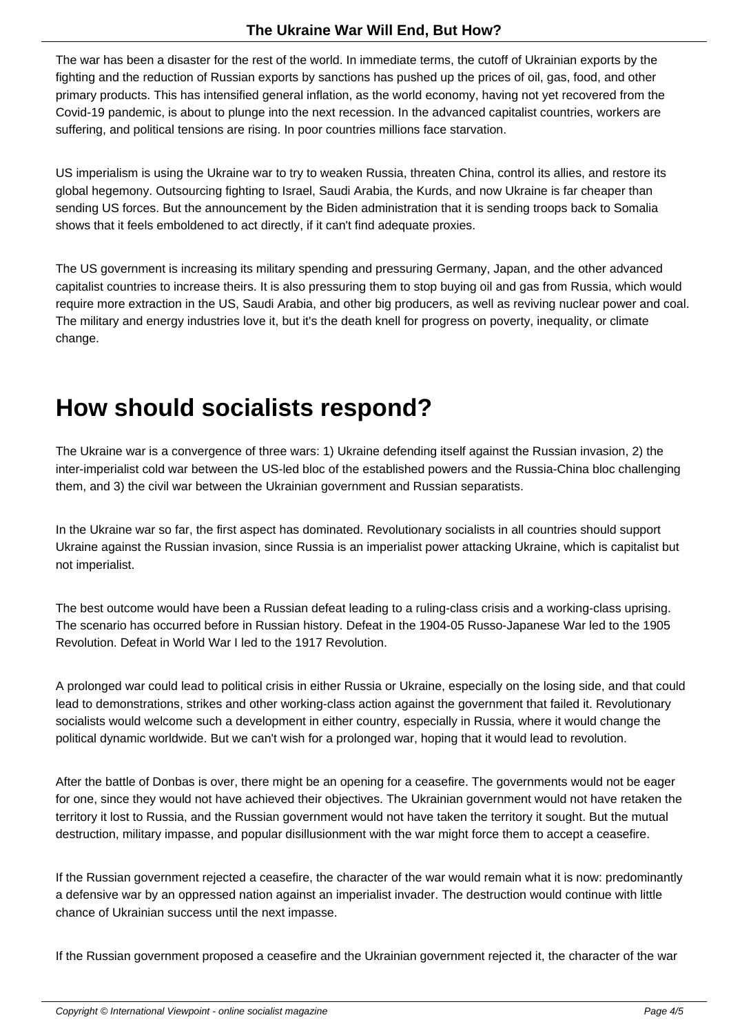The war has been a disaster for the rest of the world. In immediate terms, the cutoff of Ukrainian exports by the fighting and the reduction of Russian exports by sanctions has pushed up the prices of oil, gas, food, and other primary products. This has intensified general inflation, as the world economy, having not yet recovered from the Covid-19 pandemic, is about to plunge into the next recession. In the advanced capitalist countries, workers are suffering, and political tensions are rising. In poor countries millions face starvation.

US imperialism is using the Ukraine war to try to weaken Russia, threaten China, control its allies, and restore its global hegemony. Outsourcing fighting to Israel, Saudi Arabia, the Kurds, and now Ukraine is far cheaper than sending US forces. But the announcement by the Biden administration that it is sending troops back to Somalia shows that it feels emboldened to act directly, if it can't find adequate proxies.

The US government is increasing its military spending and pressuring Germany, Japan, and the other advanced capitalist countries to increase theirs. It is also pressuring them to stop buying oil and gas from Russia, which would require more extraction in the US, Saudi Arabia, and other big producers, as well as reviving nuclear power and coal. The military and energy industries love it, but it's the death knell for progress on poverty, inequality, or climate change.

## **How should socialists respond?**

The Ukraine war is a convergence of three wars: 1) Ukraine defending itself against the Russian invasion, 2) the inter-imperialist cold war between the US-led bloc of the established powers and the Russia-China bloc challenging them, and 3) the civil war between the Ukrainian government and Russian separatists.

In the Ukraine war so far, the first aspect has dominated. Revolutionary socialists in all countries should support Ukraine against the Russian invasion, since Russia is an imperialist power attacking Ukraine, which is capitalist but not imperialist.

The best outcome would have been a Russian defeat leading to a ruling-class crisis and a working-class uprising. The scenario has occurred before in Russian history. Defeat in the 1904-05 Russo-Japanese War led to the 1905 Revolution. Defeat in World War I led to the 1917 Revolution.

A prolonged war could lead to political crisis in either Russia or Ukraine, especially on the losing side, and that could lead to demonstrations, strikes and other working-class action against the government that failed it. Revolutionary socialists would welcome such a development in either country, especially in Russia, where it would change the political dynamic worldwide. But we can't wish for a prolonged war, hoping that it would lead to revolution.

After the battle of Donbas is over, there might be an opening for a ceasefire. The governments would not be eager for one, since they would not have achieved their objectives. The Ukrainian government would not have retaken the territory it lost to Russia, and the Russian government would not have taken the territory it sought. But the mutual destruction, military impasse, and popular disillusionment with the war might force them to accept a ceasefire.

If the Russian government rejected a ceasefire, the character of the war would remain what it is now: predominantly a defensive war by an oppressed nation against an imperialist invader. The destruction would continue with little chance of Ukrainian success until the next impasse.

If the Russian government proposed a ceasefire and the Ukrainian government rejected it, the character of the war